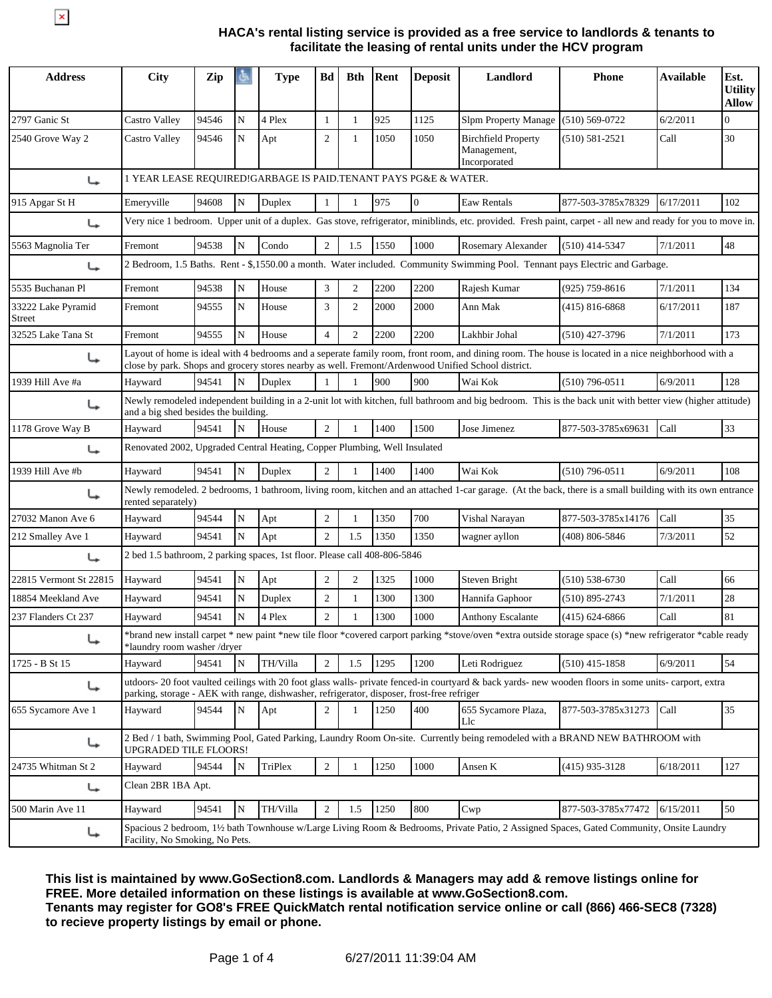$\overline{\mathbf{x}}$ 

## **HACA's rental listing service is provided as a free service to landlords & tenants to facilitate the leasing of rental units under the HCV program**

| <b>Address</b>               | <b>City</b>                                                                                                                                                                                                                                               | Zip   |           | <b>Type</b> | Bd             | <b>Bth</b>     | Rent | <b>Deposit</b> | Landlord                                                                                                                                                     | <b>Phone</b>       | <b>Available</b> | Est.<br><b>Utility</b><br><b>Allow</b> |
|------------------------------|-----------------------------------------------------------------------------------------------------------------------------------------------------------------------------------------------------------------------------------------------------------|-------|-----------|-------------|----------------|----------------|------|----------------|--------------------------------------------------------------------------------------------------------------------------------------------------------------|--------------------|------------------|----------------------------------------|
| 2797 Ganic St                | Castro Valley                                                                                                                                                                                                                                             | 94546 | N         | 4 Plex      | $\mathbf{1}$   | 1              | 925  | 1125           | <b>Slpm Property Manage</b>                                                                                                                                  | $(510) 569 - 0722$ | 6/2/2011         | $\Omega$                               |
| 2540 Grove Way 2             | Castro Valley                                                                                                                                                                                                                                             | 94546 | N         | Apt         | $\mathfrak{2}$ | $\mathbf{1}$   | 1050 | 1050           | <b>Birchfield Property</b><br>Management,<br>Incorporated                                                                                                    | $(510) 581 - 2521$ | Call             | 30                                     |
| ↳                            | 1 YEAR LEASE REQUIRED!GARBAGE IS PAID.TENANT PAYS PG&E & WATER.                                                                                                                                                                                           |       |           |             |                |                |      |                |                                                                                                                                                              |                    |                  |                                        |
| 915 Apgar St H               | Emeryville                                                                                                                                                                                                                                                | 94608 | N         | Duplex      | 1              | 1              | 975  | $\Omega$       | Eaw Rentals                                                                                                                                                  | 877-503-3785x78329 | 6/17/2011        | 102                                    |
| ↳                            |                                                                                                                                                                                                                                                           |       |           |             |                |                |      |                | Very nice 1 bedroom. Upper unit of a duplex. Gas stove, refrigerator, miniblinds, etc. provided. Fresh paint, carpet - all new and ready for you to move in. |                    |                  |                                        |
| 5563 Magnolia Ter            | Fremont                                                                                                                                                                                                                                                   | 94538 | N         | Condo       | $\overline{2}$ | 1.5            | 1550 | 1000           | Rosemary Alexander                                                                                                                                           | $(510)$ 414-5347   | 7/1/2011         | 48                                     |
| ↳                            |                                                                                                                                                                                                                                                           |       |           |             |                |                |      |                | 2 Bedroom, 1.5 Baths. Rent - \$,1550.00 a month. Water included. Community Swimming Pool. Tennant pays Electric and Garbage.                                 |                    |                  |                                        |
| 5535 Buchanan Pl             | Fremont                                                                                                                                                                                                                                                   | 94538 | N         | House       | 3              | $\overline{2}$ | 2200 | 2200           | Rajesh Kumar                                                                                                                                                 | (925) 759-8616     | 7/1/2011         | 134                                    |
| 33222 Lake Pyramid<br>Street | Fremont                                                                                                                                                                                                                                                   | 94555 | N         | House       | 3              | $\overline{c}$ | 2000 | 2000           | Ann Mak                                                                                                                                                      | $(415) 816 - 6868$ | 6/17/2011        | 187                                    |
| 32525 Lake Tana St           | Fremont                                                                                                                                                                                                                                                   | 94555 | N         | House       | $\overline{4}$ | $\overline{c}$ | 2200 | 2200           | Lakhbir Johal                                                                                                                                                | $(510)$ 427-3796   | 7/1/2011         | 173                                    |
| ↳                            | Layout of home is ideal with 4 bedrooms and a seperate family room, front room, and dining room. The house is located in a nice neighborhood with a<br>close by park. Shops and grocery stores nearby as well. Fremont/Ardenwood Unified School district. |       |           |             |                |                |      |                |                                                                                                                                                              |                    |                  |                                        |
| 1939 Hill Ave #a             | Hayward                                                                                                                                                                                                                                                   | 94541 | N         | Duplex      |                |                | 900  | 900            | Wai Kok                                                                                                                                                      | $(510)$ 796-0511   | 6/9/2011         | 128                                    |
| ↳                            | Newly remodeled independent building in a 2-unit lot with kitchen, full bathroom and big bedroom. This is the back unit with better view (higher attitude)<br>and a big shed besides the building.                                                        |       |           |             |                |                |      |                |                                                                                                                                                              |                    |                  |                                        |
| 1178 Grove Way B             | Hayward                                                                                                                                                                                                                                                   | 94541 | N         | House       | $\overline{2}$ | 1              | 1400 | 1500           | Jose Jimenez                                                                                                                                                 | 877-503-3785x69631 | Call             | 33                                     |
| ↳                            | Renovated 2002, Upgraded Central Heating, Copper Plumbing, Well Insulated                                                                                                                                                                                 |       |           |             |                |                |      |                |                                                                                                                                                              |                    |                  |                                        |
| 1939 Hill Ave $#b$           | Hayward                                                                                                                                                                                                                                                   | 94541 | N         | Duplex      | $\overline{c}$ |                | 1400 | 1400           | Wai Kok                                                                                                                                                      | $(510)$ 796-0511   | 6/9/2011         | 108                                    |
| ↳                            | rented separately)                                                                                                                                                                                                                                        |       |           |             |                |                |      |                | Newly remodeled. 2 bedrooms, 1 bathroom, living room, kitchen and an attached 1-car garage. (At the back, there is a small building with its own entrance    |                    |                  |                                        |
| 27032 Manon Ave 6            | Hayward                                                                                                                                                                                                                                                   | 94544 | N         | Apt         | $\overline{c}$ | 1              | 1350 | 700            | Vishal Narayan                                                                                                                                               | 877-503-3785x14176 | Call             | 35                                     |
| 212 Smalley Ave 1            | Hayward                                                                                                                                                                                                                                                   | 94541 | N         | Apt         | $\overline{c}$ | 1.5            | 1350 | 1350           | wagner ayllon                                                                                                                                                | (408) 806-5846     | 7/3/2011         | 52                                     |
| ↳                            | 2 bed 1.5 bathroom, 2 parking spaces, 1st floor. Please call 408-806-5846                                                                                                                                                                                 |       |           |             |                |                |      |                |                                                                                                                                                              |                    |                  |                                        |
| 22815 Vermont St 22815       | Hayward                                                                                                                                                                                                                                                   | 94541 | ${\bf N}$ | Apt         | $\overline{c}$ | $\overline{c}$ | 1325 | 1000           | Steven Bright                                                                                                                                                | $(510) 538-6730$   | Call             | 66                                     |
| 18854 Meekland Ave           | Hayward                                                                                                                                                                                                                                                   | 94541 | N         | Duplex      | $\mathbf{2}$   | 1              | 1300 | 1300           | Hannifa Gaphoor                                                                                                                                              | $(510) 895 - 2743$ | 7/1/2011         | 28                                     |
| 237 Flanders Ct 237          | Hayward                                                                                                                                                                                                                                                   | 94541 | N         | 4 Plex      | $\overline{c}$ | 1              | 1300 | 1000           | <b>Anthony Escalante</b>                                                                                                                                     | $(415) 624 - 6866$ | Call             | 81                                     |
| ↳                            | *laundry room washer/dryer                                                                                                                                                                                                                                |       |           |             |                |                |      |                | *brand new install carpet * new paint *new tile floor *covered carport parking *stove/oven *extra outside storage space (s) *new refrigerator *cable ready   |                    |                  |                                        |
| 1725 - B St 15               | Hayward                                                                                                                                                                                                                                                   | 94541 | N         | TH/Villa    | $\overline{2}$ | 1.5            | 1295 | 1200           | Leti Rodriguez                                                                                                                                               | $(510)$ 415-1858   | 6/9/2011         | 54                                     |
| ↳                            | parking, storage - AEK with range, dishwasher, refrigerator, disposer, frost-free refriger                                                                                                                                                                |       |           |             |                |                |      |                | utdoors-20 foot vaulted ceilings with 20 foot glass walls- private fenced-in courtyard & back yards- new wooden floors in some units- carport, extra         |                    |                  |                                        |
| 655 Sycamore Ave 1           | Hayward                                                                                                                                                                                                                                                   | 94544 | N         | Apt         | $\overline{c}$ | 1              | 1250 | 400            | 655 Sycamore Plaza,<br>Llc                                                                                                                                   | 877-503-3785x31273 | Call             | 35                                     |
| ↳                            | UPGRADED TILE FLOORS!                                                                                                                                                                                                                                     |       |           |             |                |                |      |                | 2 Bed / 1 bath, Swimming Pool, Gated Parking, Laundry Room On-site. Currently being remodeled with a BRAND NEW BATHROOM with                                 |                    |                  |                                        |
| 24735 Whitman St 2           | Hayward                                                                                                                                                                                                                                                   | 94544 | N         | TriPlex     | $\overline{2}$ | 1              | 1250 | 1000           | Ansen K                                                                                                                                                      | $(415)$ 935-3128   | 6/18/2011        | 127                                    |
| ↳                            | Clean 2BR 1BA Apt.                                                                                                                                                                                                                                        |       |           |             |                |                |      |                |                                                                                                                                                              |                    |                  |                                        |
| 500 Marin Ave 11             | Hayward                                                                                                                                                                                                                                                   | 94541 | N         | TH/Villa    | $\overline{2}$ | 1.5            | 1250 | 800            | Cwp                                                                                                                                                          | 877-503-3785x77472 | 6/15/2011        | 50                                     |
| ↳                            | Facility, No Smoking, No Pets.                                                                                                                                                                                                                            |       |           |             |                |                |      |                | Spacious 2 bedroom, 1½ bath Townhouse w/Large Living Room & Bedrooms, Private Patio, 2 Assigned Spaces, Gated Community, Onsite Laundry                      |                    |                  |                                        |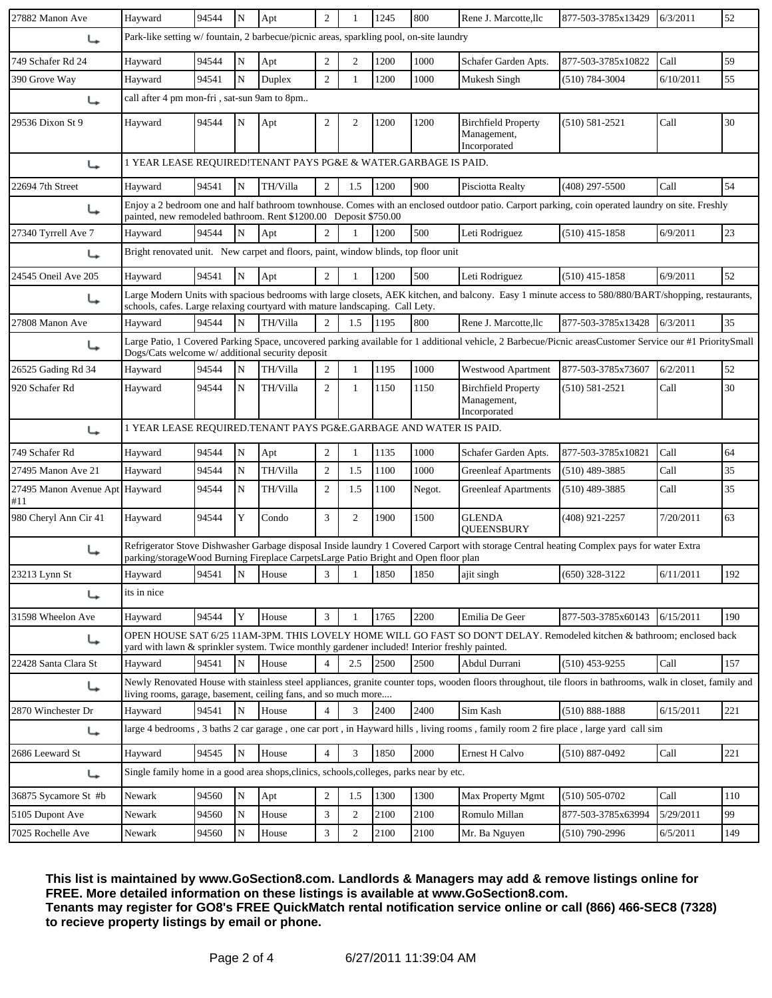| 27882 Manon Ave                       | Hayward                                                                                                                                                                                                              | 94544                                                                                                                                                                                                                               | ${\bf N}$   | Apt      | $\overline{2}$ |                | 1245 | 800    | Rene J. Marcotte,llc                                                                                                                                        | 877-503-3785x13429 | 6/3/2011  | 52  |  |
|---------------------------------------|----------------------------------------------------------------------------------------------------------------------------------------------------------------------------------------------------------------------|-------------------------------------------------------------------------------------------------------------------------------------------------------------------------------------------------------------------------------------|-------------|----------|----------------|----------------|------|--------|-------------------------------------------------------------------------------------------------------------------------------------------------------------|--------------------|-----------|-----|--|
| ↳                                     | Park-like setting w/fountain, 2 barbecue/picnic areas, sparkling pool, on-site laundry                                                                                                                               |                                                                                                                                                                                                                                     |             |          |                |                |      |        |                                                                                                                                                             |                    |           |     |  |
| 749 Schafer Rd 24                     | Hayward                                                                                                                                                                                                              | 94544                                                                                                                                                                                                                               | N           | Apt      | 2              | 2              | 1200 | 1000   | Schafer Garden Apts.                                                                                                                                        | 877-503-3785x10822 | Call      | 59  |  |
| 390 Grove Way                         | Hayward                                                                                                                                                                                                              | 94541                                                                                                                                                                                                                               | N           | Duplex   | $\overline{2}$ | $\mathbf{1}$   | 1200 | 1000   | Mukesh Singh                                                                                                                                                | $(510) 784 - 3004$ | 6/10/2011 | 55  |  |
| ↳                                     | call after 4 pm mon-fri, sat-sun 9am to 8pm                                                                                                                                                                          |                                                                                                                                                                                                                                     |             |          |                |                |      |        |                                                                                                                                                             |                    |           |     |  |
| 29536 Dixon St 9                      | Hayward                                                                                                                                                                                                              | 94544                                                                                                                                                                                                                               | N           | Apt      | $\overline{c}$ | $\mathbf{2}$   | 1200 | 1200   | <b>Birchfield Property</b><br>Management,<br>Incorporated                                                                                                   | $(510) 581 - 2521$ | Call      | 30  |  |
| ↳                                     | 1 YEAR LEASE REQUIRED!TENANT PAYS PG&E & WATER.GARBAGE IS PAID.                                                                                                                                                      |                                                                                                                                                                                                                                     |             |          |                |                |      |        |                                                                                                                                                             |                    |           |     |  |
| 22694 7th Street                      | Hayward                                                                                                                                                                                                              | 94541                                                                                                                                                                                                                               | N           | TH/Villa | $\overline{2}$ | 1.5            | 1200 | 900    | Pisciotta Realty                                                                                                                                            | $(408)$ 297-5500   | Call      | 54  |  |
| ↳                                     | Enjoy a 2 bedroom one and half bathroom townhouse. Comes with an enclosed outdoor patio. Carport parking, coin operated laundry on site. Freshly<br>painted, new remodeled bathroom. Rent \$1200.00 Deposit \$750.00 |                                                                                                                                                                                                                                     |             |          |                |                |      |        |                                                                                                                                                             |                    |           |     |  |
| 27340 Tyrrell Ave 7                   | Hayward                                                                                                                                                                                                              | 94544                                                                                                                                                                                                                               | N           | Apt      | $\overline{c}$ |                | 1200 | 500    | Leti Rodriguez                                                                                                                                              | $(510)$ 415-1858   | 6/9/2011  | 23  |  |
| ↳                                     | Bright renovated unit. New carpet and floors, paint, window blinds, top floor unit                                                                                                                                   |                                                                                                                                                                                                                                     |             |          |                |                |      |        |                                                                                                                                                             |                    |           |     |  |
| 24545 Oneil Ave 205                   | Hayward                                                                                                                                                                                                              | 94541                                                                                                                                                                                                                               | N           | Apt      | $\overline{2}$ |                | 1200 | 500    | Leti Rodriguez                                                                                                                                              | $(510)$ 415-1858   | 6/9/2011  | 52  |  |
| ↳                                     |                                                                                                                                                                                                                      | Large Modern Units with spacious bedrooms with large closets, AEK kitchen, and balcony. Easy 1 minute access to 580/880/BART/shopping, restaurants,<br>schools, cafes. Large relaxing courtyard with mature landscaping. Call Lety. |             |          |                |                |      |        |                                                                                                                                                             |                    |           |     |  |
| 27808 Manon Ave                       | Hayward                                                                                                                                                                                                              | 94544                                                                                                                                                                                                                               | N           | TH/Villa | $\overline{2}$ | 1.5            | 1195 | 800    | Rene J. Marcotte, llc                                                                                                                                       | 877-503-3785x13428 | 6/3/2011  | 35  |  |
| ↳                                     | Dogs/Cats welcome w/ additional security deposit                                                                                                                                                                     |                                                                                                                                                                                                                                     |             |          |                |                |      |        | Large Patio, 1 Covered Parking Space, uncovered parking available for 1 additional vehicle, 2 Barbecue/Picnic areasCustomer Service our #1 PrioritySmall    |                    |           |     |  |
| 26525 Gading Rd 34                    | Hayward                                                                                                                                                                                                              | 94544                                                                                                                                                                                                                               | N           | TH/Villa | $\overline{c}$ | 1              | 1195 | 1000   | <b>Westwood Apartment</b>                                                                                                                                   | 877-503-3785x73607 | 6/2/2011  | 52  |  |
| 920 Schafer Rd                        | Hayward                                                                                                                                                                                                              | 94544                                                                                                                                                                                                                               | N           | TH/Villa | $\overline{c}$ | 1              | 1150 | 1150   | <b>Birchfield Property</b><br>Management,<br>Incorporated                                                                                                   | $(510) 581 - 2521$ | Call      | 30  |  |
| ↳                                     | 1 YEAR LEASE REQUIRED.TENANT PAYS PG&E.GARBAGE AND WATER IS PAID.                                                                                                                                                    |                                                                                                                                                                                                                                     |             |          |                |                |      |        |                                                                                                                                                             |                    |           |     |  |
| 749 Schafer Rd                        | Hayward                                                                                                                                                                                                              | 94544                                                                                                                                                                                                                               | N           | Apt      | $\overline{2}$ |                | 1135 | 1000   | Schafer Garden Apts.                                                                                                                                        | 877-503-3785x10821 | Call      | 64  |  |
| 27495 Manon Ave 21                    | Hayward                                                                                                                                                                                                              | 94544                                                                                                                                                                                                                               | N           | TH/Villa | $\overline{c}$ | 1.5            | 1100 | 1000   | <b>Greenleaf Apartments</b>                                                                                                                                 | $(510)$ 489-3885   | Call      | 35  |  |
| 27495 Manon Avenue Apt Hayward<br>#11 |                                                                                                                                                                                                                      | 94544                                                                                                                                                                                                                               | N           | TH/Villa | $\overline{c}$ | 1.5            | 1100 | Negot. | <b>Greenleaf Apartments</b>                                                                                                                                 | $(510)$ 489-3885   | Call      | 35  |  |
| 980 Cheryl Ann Cir 41                 | Hayward                                                                                                                                                                                                              | 94544                                                                                                                                                                                                                               | Y           | Condo    | $\mathfrak{Z}$ | $\overline{2}$ | 1900 | 1500   | <b>GLENDA</b><br><b>OUEENSBURY</b>                                                                                                                          | (408) 921-2257     | 7/20/2011 | 63  |  |
| ↳                                     | parking/storageWood Burning Fireplace CarpetsLarge Patio Bright and Open floor plan                                                                                                                                  |                                                                                                                                                                                                                                     |             |          |                |                |      |        | Refrigerator Stove Dishwasher Garbage disposal Inside laundry 1 Covered Carport with storage Central heating Complex pays for water Extra                   |                    |           |     |  |
| 23213 Lynn St                         | Hayward 94541 N House 3 1 1 1850 1850 ajit singh                                                                                                                                                                     |                                                                                                                                                                                                                                     |             |          |                |                |      |        |                                                                                                                                                             | $(650)$ 328-3122   | 6/11/2011 | 192 |  |
| ↳                                     | its in nice                                                                                                                                                                                                          |                                                                                                                                                                                                                                     |             |          |                |                |      |        |                                                                                                                                                             |                    |           |     |  |
| 31598 Wheelon Ave                     | Hayward                                                                                                                                                                                                              | 94544                                                                                                                                                                                                                               | $\mathbf Y$ | House    | 3              | -1             | 1765 | 2200   | Emilia De Geer                                                                                                                                              | 877-503-3785x60143 | 6/15/2011 | 190 |  |
| ↳                                     | yard with lawn & sprinkler system. Twice monthly gardener included! Interior freshly painted.                                                                                                                        |                                                                                                                                                                                                                                     |             |          |                |                |      |        | OPEN HOUSE SAT 6/25 11AM-3PM. THIS LOVELY HOME WILL GO FAST SO DON'T DELAY. Remodeled kitchen & bathroom; enclosed back                                     |                    |           |     |  |
| 22428 Santa Clara St                  | Hayward                                                                                                                                                                                                              | 94541                                                                                                                                                                                                                               | N           | House    | $\overline{4}$ | 2.5            | 2500 | 2500   | Abdul Durrani                                                                                                                                               | $(510)$ 453-9255   | Call      | 157 |  |
| ↳                                     | living rooms, garage, basement, ceiling fans, and so much more                                                                                                                                                       |                                                                                                                                                                                                                                     |             |          |                |                |      |        | Newly Renovated House with stainless steel appliances, granite counter tops, wooden floors throughout, tile floors in bathrooms, walk in closet, family and |                    |           |     |  |
| 2870 Winchester Dr                    | Hayward                                                                                                                                                                                                              | 94541                                                                                                                                                                                                                               | N           | House    | $\overline{4}$ | 3              | 2400 | 2400   | Sim Kash                                                                                                                                                    | $(510) 888 - 1888$ | 6/15/2011 | 221 |  |
| ↳                                     |                                                                                                                                                                                                                      |                                                                                                                                                                                                                                     |             |          |                |                |      |        | large 4 bedrooms, 3 baths 2 car garage, one car port, in Hayward hills, living rooms, family room 2 fire place, large yard call sim                         |                    |           |     |  |
| 2686 Leeward St                       | Hayward                                                                                                                                                                                                              | 94545                                                                                                                                                                                                                               | N           | House    | 4              | 3              | 1850 | 2000   | Ernest H Calvo                                                                                                                                              | $(510) 887 - 0492$ | Call      | 221 |  |
| ↳                                     | Single family home in a good area shops, clinics, schools, colleges, parks near by etc.                                                                                                                              |                                                                                                                                                                                                                                     |             |          |                |                |      |        |                                                                                                                                                             |                    |           |     |  |
| 36875 Sycamore St #b                  | Newark                                                                                                                                                                                                               | 94560                                                                                                                                                                                                                               | $\mathbf N$ | Apt      | $\overline{2}$ | 1.5            | 1300 | 1300   | Max Property Mgmt                                                                                                                                           | $(510) 505 - 0702$ | Call      | 110 |  |
| 5105 Dupont Ave                       | Newark                                                                                                                                                                                                               | 94560                                                                                                                                                                                                                               | ${\bf N}$   | House    | $\mathfrak{Z}$ | $\overline{2}$ | 2100 | 2100   | Romulo Millan                                                                                                                                               | 877-503-3785x63994 | 5/29/2011 | 99  |  |
| 7025 Rochelle Ave                     | Newark                                                                                                                                                                                                               | 94560                                                                                                                                                                                                                               | $\mathbf N$ | House    | 3              | $\overline{2}$ | 2100 | 2100   | Mr. Ba Nguyen                                                                                                                                               | $(510)$ 790-2996   | 6/5/2011  | 149 |  |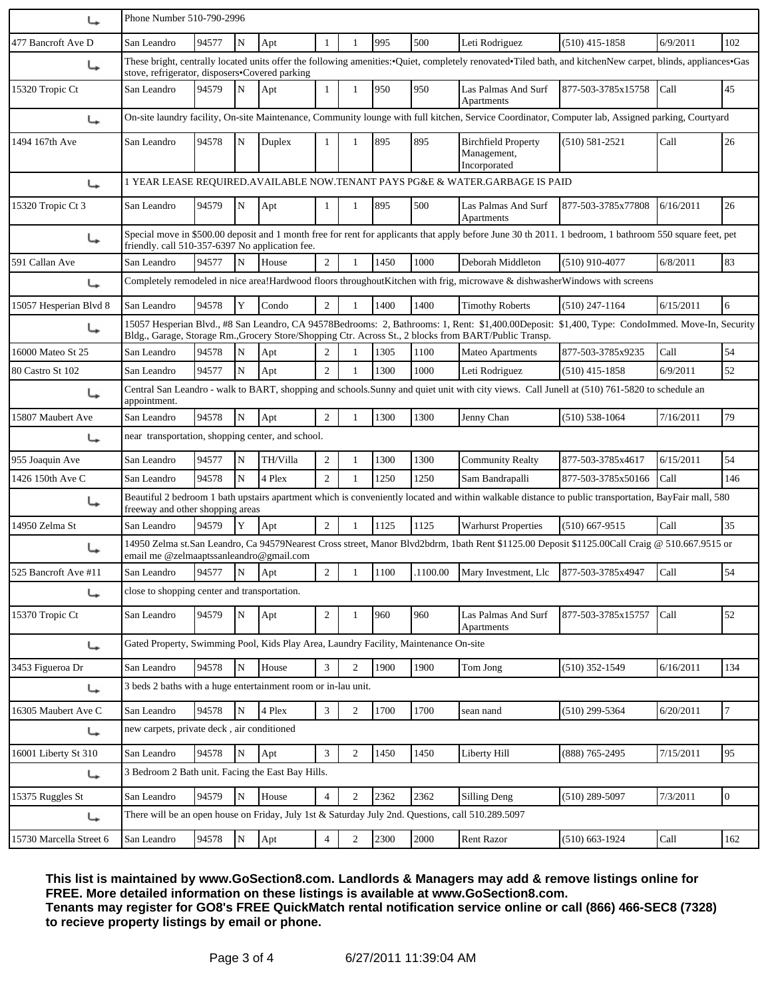| ↳                       | Phone Number 510-790-2996                                                                                                                                                                                          |                                                                                                                                                                                                                                                          |             |          |                  |                |      |      |                                                                                                                                                         |                    |           |                |
|-------------------------|--------------------------------------------------------------------------------------------------------------------------------------------------------------------------------------------------------------------|----------------------------------------------------------------------------------------------------------------------------------------------------------------------------------------------------------------------------------------------------------|-------------|----------|------------------|----------------|------|------|---------------------------------------------------------------------------------------------------------------------------------------------------------|--------------------|-----------|----------------|
| 477 Bancroft Ave D      | San Leandro                                                                                                                                                                                                        | 94577                                                                                                                                                                                                                                                    | ${\bf N}$   | Apt      | $\mathbf{1}$     |                | 995  | 500  | Leti Rodriguez                                                                                                                                          | $(510)$ 415-1858   | 6/9/2011  | 102            |
| ↳                       | These bright, centrally located units offer the following amenities: • Quiet, completely renovated • Tiled bath, and kitchenNew carpet, blinds, appliances • Gas<br>stove, refrigerator, disposers•Covered parking |                                                                                                                                                                                                                                                          |             |          |                  |                |      |      |                                                                                                                                                         |                    |           |                |
| 15320 Tropic Ct         | San Leandro                                                                                                                                                                                                        | 94579                                                                                                                                                                                                                                                    | N           | Apt      | $\mathbf{1}$     | 1              | 950  | 950  | Las Palmas And Surf<br>Apartments                                                                                                                       | 877-503-3785x15758 | Call      | 45             |
| ↳                       |                                                                                                                                                                                                                    |                                                                                                                                                                                                                                                          |             |          |                  |                |      |      | On-site laundry facility, On-site Maintenance, Community lounge with full kitchen, Service Coordinator, Computer lab, Assigned parking, Courtyard       |                    |           |                |
| 1494 167th Ave          | San Leandro                                                                                                                                                                                                        | 94578                                                                                                                                                                                                                                                    | N           | Duplex   |                  | 1              | 895  | 895  | <b>Birchfield Property</b><br>Management,<br>Incorporated                                                                                               | $(510) 581 - 2521$ | Call      | 26             |
| ↳                       |                                                                                                                                                                                                                    |                                                                                                                                                                                                                                                          |             |          |                  |                |      |      | 1 YEAR LEASE REQUIRED. AVAILABLE NOW. TENANT PAYS PG&E & WATER. GARBAGE IS PAID                                                                         |                    |           |                |
| 15320 Tropic Ct 3       | San Leandro                                                                                                                                                                                                        | 94579                                                                                                                                                                                                                                                    | N           | Apt      |                  | 1              | 895  | 500  | Las Palmas And Surf<br>Apartments                                                                                                                       | 877-503-3785x77808 | 6/16/2011 | 26             |
| ↳                       | friendly. call 510-357-6397 No application fee.                                                                                                                                                                    |                                                                                                                                                                                                                                                          |             |          |                  |                |      |      | Special move in \$500.00 deposit and 1 month free for rent for applicants that apply before June 30 th 2011. 1 bedroom, 1 bathroom 550 square feet, pet |                    |           |                |
| 591 Callan Ave          | San Leandro                                                                                                                                                                                                        | 94577                                                                                                                                                                                                                                                    | N           | House    | $\overline{2}$   |                | 1450 | 1000 | Deborah Middleton                                                                                                                                       | $(510)$ 910-4077   | 6/8/2011  | 83             |
| ↳                       |                                                                                                                                                                                                                    |                                                                                                                                                                                                                                                          |             |          |                  |                |      |      | Completely remodeled in nice area!Hardwood floors throughoutKitchen with frig, microwave & dishwasherWindows with screens                               |                    |           |                |
| 15057 Hesperian Blvd 8  | San Leandro                                                                                                                                                                                                        | 94578                                                                                                                                                                                                                                                    | Y           | Condo    | $\overline{2}$   |                | 1400 | 1400 | <b>Timothy Roberts</b>                                                                                                                                  | $(510)$ 247-1164   | 6/15/2011 | 6              |
|                         |                                                                                                                                                                                                                    | 15057 Hesperian Blvd., #8 San Leandro, CA 94578Bedrooms: 2, Bathrooms: 1, Rent: \$1,400.00Deposit: \$1,400, Type: CondoImmed. Move-In, Security<br>Bldg., Garage, Storage Rm., Grocery Store/Shopping Ctr. Across St., 2 blocks from BART/Public Transp. |             |          |                  |                |      |      |                                                                                                                                                         |                    |           |                |
| 16000 Mateo St 25       | San Leandro                                                                                                                                                                                                        | 94578                                                                                                                                                                                                                                                    | N           | Apt      | $\overline{2}$   |                | 1305 | 1100 | <b>Mateo Apartments</b>                                                                                                                                 | 877-503-3785x9235  | Call      | 54             |
| 80 Castro St 102        | San Leandro                                                                                                                                                                                                        | 94577                                                                                                                                                                                                                                                    | N           | Apt      | $\overline{2}$   |                | 1300 | 1000 | Leti Rodriguez                                                                                                                                          | $(510)$ 415-1858   | 6/9/2011  | 52             |
| ↳                       | Central San Leandro - walk to BART, shopping and schools.Sunny and quiet unit with city views. Call Junell at (510) 761-5820 to schedule an<br>appointment.                                                        |                                                                                                                                                                                                                                                          |             |          |                  |                |      |      |                                                                                                                                                         |                    |           |                |
| 15807 Maubert Ave       | San Leandro                                                                                                                                                                                                        | 94578                                                                                                                                                                                                                                                    | ${\bf N}$   | Apt      | $\overline{2}$   |                | 1300 | 1300 | Jenny Chan                                                                                                                                              | $(510) 538 - 1064$ | 7/16/2011 | 79             |
| ↳                       | near transportation, shopping center, and school.                                                                                                                                                                  |                                                                                                                                                                                                                                                          |             |          |                  |                |      |      |                                                                                                                                                         |                    |           |                |
| 955 Joaquin Ave         | San Leandro                                                                                                                                                                                                        | 94577                                                                                                                                                                                                                                                    | N           | TH/Villa | $\boldsymbol{2}$ | 1              | 1300 | 1300 | <b>Community Realty</b>                                                                                                                                 | 877-503-3785x4617  | 6/15/2011 | 54             |
| 1426 150th Ave C        | San Leandro                                                                                                                                                                                                        | 94578                                                                                                                                                                                                                                                    | N           | 4 Plex   | $\overline{2}$   | $\mathbf{1}$   | 1250 | 1250 | Sam Bandrapalli                                                                                                                                         | 877-503-3785x50166 | Call      | 146            |
| ↳                       | freeway and other shopping areas                                                                                                                                                                                   |                                                                                                                                                                                                                                                          |             |          |                  |                |      |      | Beautiful 2 bedroom 1 bath upstairs apartment which is conveniently located and within walkable distance to public transportation, BayFair mall, 580    |                    |           |                |
| 14950 Zelma St          | San Leandro                                                                                                                                                                                                        | 94579                                                                                                                                                                                                                                                    | Y           | Apt      | $\overline{2}$   |                | 1125 | 1125 | <b>Warhurst Properties</b>                                                                                                                              | $(510)$ 667-9515   | Call      | 35             |
|                         | email me @zelmaaptssanleandro@gmail.com                                                                                                                                                                            |                                                                                                                                                                                                                                                          |             |          |                  |                |      |      | 14950 Zelma st.San Leandro, Ca 94579Nearest Cross street, Manor Blvd2bdrm, 1bath Rent \$1125.00 Deposit \$1125.00Call Craig @ 510.667.9515 or           |                    |           |                |
| 525 Bancroft Ave #11    | San Leandro                                                                                                                                                                                                        | 94577                                                                                                                                                                                                                                                    | N           | Apt      | 2                | $\mathbf{1}$   | 1100 |      | .1100.00 Mary Investment, Llc 877-503-3785x4947                                                                                                         |                    | Call      | 54             |
| ↳                       | close to shopping center and transportation.                                                                                                                                                                       |                                                                                                                                                                                                                                                          |             |          |                  |                |      |      |                                                                                                                                                         |                    |           |                |
| 15370 Tropic Ct         | San Leandro                                                                                                                                                                                                        | 94579                                                                                                                                                                                                                                                    | ${\bf N}$   | Apt      | $\overline{2}$   |                | 960  | 960  | Las Palmas And Surf<br>Apartments                                                                                                                       | 877-503-3785x15757 | Call      | 52             |
| ↳                       | Gated Property, Swimming Pool, Kids Play Area, Laundry Facility, Maintenance On-site                                                                                                                               |                                                                                                                                                                                                                                                          |             |          |                  |                |      |      |                                                                                                                                                         |                    |           |                |
| 3453 Figueroa Dr        | San Leandro                                                                                                                                                                                                        | 94578                                                                                                                                                                                                                                                    | $\mathbf N$ | House    | $\mathfrak{Z}$   | $\overline{2}$ | 1900 | 1900 | Tom Jong                                                                                                                                                | $(510)$ 352-1549   | 6/16/2011 | 134            |
| ↳                       | 3 beds 2 baths with a huge entertainment room or in-lau unit.                                                                                                                                                      |                                                                                                                                                                                                                                                          |             |          |                  |                |      |      |                                                                                                                                                         |                    |           |                |
| 16305 Maubert Ave C     | San Leandro                                                                                                                                                                                                        | 94578                                                                                                                                                                                                                                                    | $\mathbf N$ | 4 Plex   | $\mathfrak{Z}$   | $\overline{2}$ | 1700 | 1700 | sean nand                                                                                                                                               | $(510)$ 299-5364   | 6/20/2011 | $\overline{7}$ |
| ↳                       | new carpets, private deck, air conditioned                                                                                                                                                                         |                                                                                                                                                                                                                                                          |             |          |                  |                |      |      |                                                                                                                                                         |                    |           |                |
| 16001 Liberty St 310    | San Leandro                                                                                                                                                                                                        | 94578                                                                                                                                                                                                                                                    | ${\bf N}$   | Apt      | 3                | $\overline{2}$ | 1450 | 1450 | Liberty Hill                                                                                                                                            | (888) 765-2495     | 7/15/2011 | 95             |
| ↳                       | 3 Bedroom 2 Bath unit. Facing the East Bay Hills.                                                                                                                                                                  |                                                                                                                                                                                                                                                          |             |          |                  |                |      |      |                                                                                                                                                         |                    |           |                |
| 15375 Ruggles St        | San Leandro                                                                                                                                                                                                        | 94579                                                                                                                                                                                                                                                    | N           | House    | $\overline{4}$   | $\overline{2}$ | 2362 | 2362 | Silling Deng                                                                                                                                            | $(510)$ 289-5097   | 7/3/2011  | $\overline{0}$ |
| ↳                       |                                                                                                                                                                                                                    |                                                                                                                                                                                                                                                          |             |          |                  |                |      |      | There will be an open house on Friday, July 1st & Saturday July 2nd. Questions, call 510.289.5097                                                       |                    |           |                |
| 15730 Marcella Street 6 | San Leandro                                                                                                                                                                                                        | 94578                                                                                                                                                                                                                                                    | ${\bf N}$   | Apt      | $\overline{4}$   | $\overline{c}$ | 2300 | 2000 | <b>Rent Razor</b>                                                                                                                                       | $(510) 663 - 1924$ | Call      | 162            |